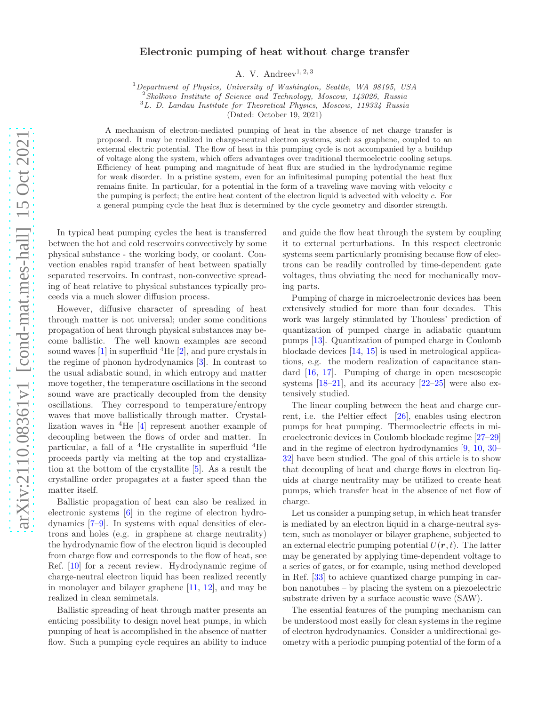## Electronic pumping of heat without charge transfer

A. V. Andreev<sup>1, 2, 3</sup>

 $1$ Department of Physics, University of Washington, Seattle, WA 98195, USA

 $2$ Skolkovo Institute of Science and Technology, Moscow, 143026, Russia

<sup>3</sup>L. D. Landau Institute for Theoretical Physics, Moscow, 119334 Russia

(Dated: October 19, 2021)

A mechanism of electron-mediated pumping of heat in the absence of net charge transfer is proposed. It may be realized in charge-neutral electron systems, such as graphene, coupled to an external electric potential. The flow of heat in this pumping cycle is not accompanied by a buildup of voltage along the system, which offers advantages over traditional thermoelectric cooling setups. Efficiency of heat pumping and magnitude of heat flux are studied in the hydrodynamic regime for weak disorder. In a pristine system, even for an infinitesimal pumping potential the heat flux remains finite. In particular, for a potential in the form of a traveling wave moving with velocity c the pumping is perfect; the entire heat content of the electron liquid is advected with velocity c. For a general pumping cycle the heat flux is determined by the cycle geometry and disorder strength.

In typical heat pumping cycles the heat is transferred between the hot and cold reservoirs convectively by some physical substance - the working body, or coolant. Convection enables rapid transfer of heat between spatially separated reservoirs. In contrast, non-convective spreading of heat relative to physical substances typically proceeds via a much slower diffusion process.

However, diffusive character of spreading of heat through matter is not universal; under some conditions propagation of heat through physical substances may become ballistic. The well known examples are second sound waves  $[1]$  in superfluid <sup>4</sup>He  $[2]$ , and pure crystals in the regime of phonon hydrodynamics [\[3](#page-4-2)]. In contrast to the usual adiabatic sound, in which entropy and matter move together, the temperature oscillations in the second sound wave are practically decoupled from the density oscillations. They correspond to temperature/entropy waves that move ballistically through matter. Crystallization waves in  ${}^{4}$ He [\[4\]](#page-4-3) represent another example of decoupling between the flows of order and matter. In particular, a fall of a  ${}^{4}$ He crystallite in superfluid  ${}^{4}$ He proceeds partly via melting at the top and crystallization at the bottom of the crystallite [\[5](#page-4-4)]. As a result the crystalline order propagates at a faster speed than the matter itself.

Ballistic propagation of heat can also be realized in electronic systems [\[6](#page-4-5)] in the regime of electron hydrodynamics [\[7](#page-4-6)[–9](#page-4-7)]. In systems with equal densities of electrons and holes (e.g. in graphene at charge neutrality) the hydrodynamic flow of the electron liquid is decoupled from charge flow and corresponds to the flow of heat, see Ref. [\[10\]](#page-4-8) for a recent review. Hydrodynamic regime of charge-neutral electron liquid has been realized recently in monolayer and bilayer graphene [\[11,](#page-4-9) [12](#page-4-10)], and may be realized in clean semimetals.

Ballistic spreading of heat through matter presents an enticing possibility to design novel heat pumps, in which pumping of heat is accomplished in the absence of matter flow. Such a pumping cycle requires an ability to induce

and guide the flow heat through the system by coupling it to external perturbations. In this respect electronic systems seem particularly promising because flow of electrons can be readily controlled by time-dependent gate voltages, thus obviating the need for mechanically moving parts.

Pumping of charge in microelectronic devices has been extensively studied for more than four decades. This work was largely stimulated by Thouless' prediction of quantization of pumped charge in adiabatic quantum pumps [\[13\]](#page-4-11). Quantization of pumped charge in Coulomb blockade devices [\[14,](#page-4-12) [15\]](#page-4-13) is used in metrological applications, e.g. the modern realization of capacitance standard [\[16,](#page-4-14) [17\]](#page-4-15). Pumping of charge in open mesoscopic systems  $[18-21]$ , and its accuracy  $[22-25]$  were also extensively studied.

The linear coupling between the heat and charge current, i.e. the Peltier effect [\[26\]](#page-4-20), enables using electron pumps for heat pumping. Thermoelectric effects in microelectronic devices in Coulomb blockade regime [\[27](#page-4-21)[–29\]](#page-4-22) and in the regime of electron hydrodynamics [\[9,](#page-4-7) [10,](#page-4-8) [30](#page-4-23)– [32](#page-4-24)] have been studied. The goal of this article is to show that decoupling of heat and charge flows in electron liquids at charge neutrality may be utilized to create heat pumps, which transfer heat in the absence of net flow of charge.

Let us consider a pumping setup, in which heat transfer is mediated by an electron liquid in a charge-neutral system, such as monolayer or bilayer graphene, subjected to an external electric pumping potential  $U(\mathbf{r}, t)$ . The latter may be generated by applying time-dependent voltage to a series of gates, or for example, using method developed in Ref. [\[33\]](#page-4-25) to achieve quantized charge pumping in carbon nanotubes – by placing the system on a piezoelectric substrate driven by a surface acoustic wave (SAW).

The essential features of the pumping mechanism can be understood most easily for clean systems in the regime of electron hydrodynamics. Consider a unidirectional geometry with a periodic pumping potential of the form of a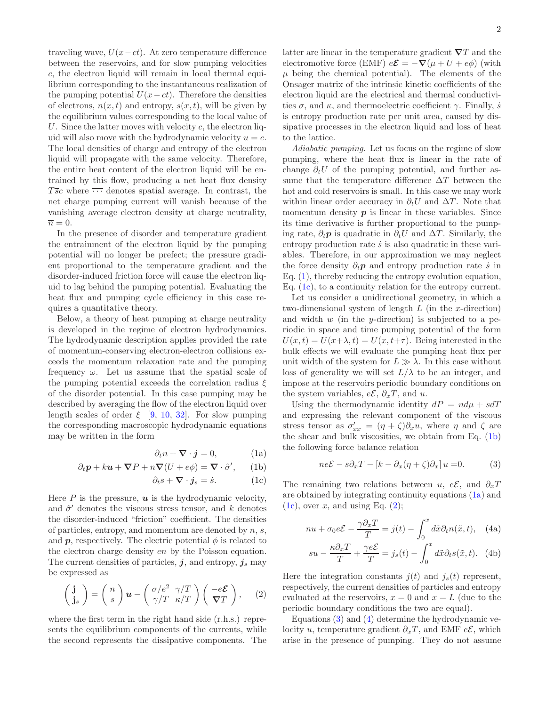traveling wave,  $U(x-ct)$ . At zero temperature difference between the reservoirs, and for slow pumping velocities c, the electron liquid will remain in local thermal equilibrium corresponding to the instantaneous realization of the pumping potential  $U(x-ct)$ . Therefore the densities of electrons,  $n(x, t)$  and entropy,  $s(x, t)$ , will be given by the equilibrium values corresponding to the local value of U. Since the latter moves with velocity  $c$ , the electron liquid will also move with the hydrodynamic velocity  $u = c$ . The local densities of charge and entropy of the electron liquid will propagate with the same velocity. Therefore, the entire heat content of the electron liquid will be entrained by this flow, producing a net heat flux density  $T\bar{s}c$  where  $\overline{\cdots}$  denotes spatial average. In contrast, the net charge pumping current will vanish because of the vanishing average electron density at charge neutrality,  $\overline{n} = 0.$ 

In the presence of disorder and temperature gradient the entrainment of the electron liquid by the pumping potential will no longer be prefect; the pressure gradient proportional to the temperature gradient and the disorder-induced friction force will cause the electron liquid to lag behind the pumping potential. Evaluating the heat flux and pumping cycle efficiency in this case requires a quantitative theory.

Below, a theory of heat pumping at charge neutrality is developed in the regime of electron hydrodynamics. The hydrodynamic description applies provided the rate of momentum-conserving electron-electron collisions exceeds the momentum relaxation rate and the pumping frequency  $\omega$ . Let us assume that the spatial scale of the pumping potential exceeds the correlation radius  $\xi$ of the disorder potential. In this case pumping may be described by averaging the flow of the electron liquid over length scales of order  $\xi$  [\[9,](#page-4-7) [10](#page-4-8), [32](#page-4-24)]. For slow pumping the corresponding macroscopic hydrodynamic equations may be written in the form

<span id="page-1-1"></span><span id="page-1-0"></span>
$$
\partial_t n + \mathbf{\nabla} \cdot \mathbf{j} = 0,\tag{1a}
$$

$$
\partial_t \mathbf{p} + k \mathbf{u} + \nabla P + n \nabla (U + e\phi) = \nabla \cdot \hat{\sigma}', \qquad (1b)
$$

$$
\partial_t s + \mathbf{\nabla} \cdot \mathbf{j}_s = \dot{s}.\tag{1c}
$$

Here  $P$  is the pressure,  $\boldsymbol{u}$  is the hydrodynamic velocity, and  $\hat{\sigma}'$  denotes the viscous stress tensor, and k denotes the disorder-induced "friction" coefficient. The densities of particles, entropy, and momentum are denoted by  $n, s$ , and **p**, respectively. The electric potential  $\phi$  is related to the electron charge density en by the Poisson equation. The current densities of particles,  $j$ , and entropy,  $j_s$  may be expressed as

<span id="page-1-2"></span>
$$
\begin{pmatrix} \mathbf{j} \\ \mathbf{j}_s \end{pmatrix} = \begin{pmatrix} n \\ s \end{pmatrix} \mathbf{u} - \begin{pmatrix} \sigma/e^2 & \gamma/T \\ \gamma/T & \kappa/T \end{pmatrix} \begin{pmatrix} -e\mathbf{E} \\ \nabla T \end{pmatrix}, \quad (2)
$$

where the first term in the right hand side (r.h.s.) represents the equilibrium components of the currents, while the second represents the dissipative components. The

latter are linear in the temperature gradient  $\nabla T$  and the electromotive force (EMF)  $e\mathcal{E} = -\nabla(\mu + U + e\phi)$  (with  $\mu$  being the chemical potential). The elements of the Onsager matrix of the intrinsic kinetic coefficients of the electron liquid are the electrical and thermal conductivities  $\sigma$ , and  $\kappa$ , and thermoelectric coefficient  $\gamma$ . Finally,  $\dot{s}$ is entropy production rate per unit area, caused by dissipative processes in the electron liquid and loss of heat to the lattice.

Adiabatic pumping. Let us focus on the regime of slow pumping, where the heat flux is linear in the rate of change  $\partial_t U$  of the pumping potential, and further assume that the temperature difference  $\Delta T$  between the hot and cold reservoirs is small. In this case we may work within linear order accuracy in  $\partial_t U$  and  $\Delta T$ . Note that momentum density  $p$  is linear in these variables. Since its time derivative is further proportional to the pumping rate,  $\partial_t p$  is quadratic in  $\partial_t U$  and  $\Delta T$ . Similarly, the entropy production rate  $\dot{s}$  is also quadratic in these variables. Therefore, in our approximation we may neglect the force density  $\partial_t p$  and entropy production rate *i* in Eq. [\(1\)](#page-1-0), thereby reducing the entropy evolution equation, Eq. [\(1c\)](#page-1-1), to a continuity relation for the entropy current.

Let us consider a unidirectional geometry, in which a two-dimensional system of length  $L$  (in the x-direction) and width  $w$  (in the  $y$ -direction) is subjected to a periodic in space and time pumping potential of the form  $U(x,t) = U(x+\lambda, t) = U(x, t+\tau)$ . Being interested in the bulk effects we will evaluate the pumping heat flux per unit width of the system for  $L \gg \lambda$ . In this case without loss of generality we will set  $L/\lambda$  to be an integer, and impose at the reservoirs periodic boundary conditions on the system variables,  $e\mathcal{E}, \partial_x T$ , and u.

Using the thermodynamic identity  $dP = nd\mu + sdT$ and expressing the relevant component of the viscous stress tensor as  $\sigma'_{xx} = (\eta + \zeta)\partial_x u$ , where  $\eta$  and  $\zeta$  are the shear and bulk viscosities, we obtain from Eq. [\(1b\)](#page-1-1) the following force balance relation

<span id="page-1-4"></span><span id="page-1-3"></span>
$$
ne\mathcal{E} - s\partial_x T - [k - \partial_x(\eta + \zeta)\partial_x] u = 0.
$$
 (3)

The remaining two relations between u, e $\mathcal{E}$ , and  $\partial_x T$ are obtained by integrating continuity equations [\(1a\)](#page-1-1) and  $(1c)$ , over x, and using Eq.  $(2)$ ;

<span id="page-1-5"></span>
$$
nu + \sigma_0 e \mathcal{E} - \frac{\gamma \partial_x T}{T} = j(t) - \int_0^x d\tilde{x} \partial_t n(\tilde{x}, t), \quad \text{(4a)}
$$

$$
su - \frac{\kappa \partial_x T}{T} + \frac{\gamma e \mathcal{E}}{T} = j_s(t) - \int_0^x d\tilde{x} \partial_t s(\tilde{x}, t). \tag{4b}
$$

Here the integration constants  $i(t)$  and  $i_s(t)$  represent, respectively, the current densities of particles and entropy evaluated at the reservoirs,  $x = 0$  and  $x = L$  (due to the periodic boundary conditions the two are equal).

Equations [\(3\)](#page-1-3) and [\(4\)](#page-1-4) determine the hydrodynamic velocity u, temperature gradient  $\partial_x T$ , and EMF  $e\mathcal{E}$ , which arise in the presence of pumping. They do not assume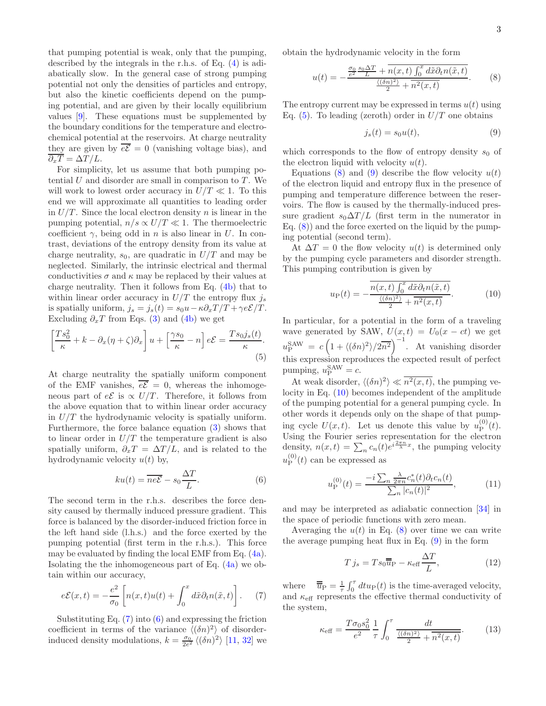that pumping potential is weak, only that the pumping, described by the integrals in the r.h.s. of Eq. [\(4\)](#page-1-4) is adiabatically slow. In the general case of strong pumping potential not only the densities of particles and entropy, but also the kinetic coefficients depend on the pumping potential, and are given by their locally equilibrium values [\[9\]](#page-4-7). These equations must be supplemented by the boundary conditions for the temperature and electrochemical potential at the reservoirs. At charge neutrality they are given by  $\overline{e\mathcal{E}}=0$  (vanishing voltage bias), and  $\overline{\partial_x T} = \Delta T / L.$ 

For simplicity, let us assume that both pumping potential  $U$  and disorder are small in comparison to  $T$ . We will work to lowest order accuracy in  $U/T \ll 1$ . To this end we will approximate all quantities to leading order in  $U/T$ . Since the local electron density n is linear in the pumping potential,  $n/s \propto U/T \ll 1$ . The thermoelectric coefficient  $\gamma$ , being odd in n is also linear in U. In contrast, deviations of the entropy density from its value at charge neutrality,  $s_0$ , are quadratic in  $U/T$  and may be neglected. Similarly, the intrinsic electrical and thermal conductivities  $\sigma$  and  $\kappa$  may be replaced by their values at charge neutrality. Then it follows from Eq. [\(4b\)](#page-1-5) that to within linear order accuracy in  $U/T$  the entropy flux  $j_s$ is spatially uniform,  $j_s = j_s(t) = s_0u - \kappa \partial_x T/T + \gamma e\mathcal{E}/T$ . Excluding  $\partial_x T$  from Eqs. [\(3\)](#page-1-3) and [\(4b\)](#page-1-5) we get

$$
\left[\frac{T s_0^2}{\kappa} + k - \partial_x(\eta + \zeta)\partial_x\right]u + \left[\frac{\gamma s_0}{\kappa} - n\right]e\mathcal{E} = \frac{T s_0 j_s(t)}{\kappa}.
$$
\n(5)

At charge neutrality the spatially uniform component of the EMF vanishes,  $\overline{e\mathcal{E}} = 0$ , whereas the inhomogeneous part of  $eE$  is  $\propto U/T$ . Therefore, it follows from the above equation that to within linear order accuracy in  $U/T$  the hydrodynamic velocity is spatially uniform. Furthermore, the force balance equation [\(3\)](#page-1-3) shows that to linear order in  $U/T$  the temperature gradient is also spatially uniform,  $\partial_x T = \Delta T / L$ , and is related to the hydrodynamic velocity  $u(t)$  by,

<span id="page-2-1"></span>
$$
ku(t) = \overline{ne\mathcal{E}} - s_0 \frac{\Delta T}{L}.
$$
 (6)

The second term in the r.h.s. describes the force density caused by thermally induced pressure gradient. This force is balanced by the disorder-induced friction force in the left hand side (l.h.s.) and the force exerted by the pumping potential (first term in the r.h.s.). This force may be evaluated by finding the local EMF from Eq. [\(4a\)](#page-1-5). Isolating the the inhomogeneous part of Eq. [\(4a\)](#page-1-5) we obtain within our accuracy,

$$
e\mathcal{E}(x,t) = -\frac{e^2}{\sigma_0} \left[ n(x,t)u(t) + \int_0^x d\tilde{x}\partial_t n(\tilde{x},t) \right].
$$
 (7)

Substituting Eq.  $(7)$  into  $(6)$  and expressing the friction coefficient in terms of the variance  $\langle (\delta n)^2 \rangle$  of disorderinduced density modulations,  $k = \frac{\sigma_0}{2e^2} \langle (\delta n)^2 \rangle$  [\[11,](#page-4-9) [32\]](#page-4-24) we obtain the hydrodynamic velocity in the form

$$
u(t) = -\frac{\frac{\sigma_0}{e^2} \frac{s_0 \Delta T}{L} + n(x, t) \int_0^x d\tilde{x} \partial_t n(\tilde{x}, t)}{\frac{\langle (\delta n)^2 \rangle}{2} + n^2(x, t)}.
$$
 (8)

The entropy current may be expressed in terms  $u(t)$  using Eq.  $(5)$ . To leading (zeroth) order in  $U/T$  one obtains

<span id="page-2-4"></span><span id="page-2-3"></span>
$$
j_s(t) = s_0 u(t),\tag{9}
$$

which corresponds to the flow of entropy density  $s_0$  of the electron liquid with velocity  $u(t)$ .

Equations [\(8\)](#page-2-3) and [\(9\)](#page-2-4) describe the flow velocity  $u(t)$ of the electron liquid and entropy flux in the presence of pumping and temperature difference between the reservoirs. The flow is caused by the thermally-induced pressure gradient  $s_0 \Delta T / L$  (first term in the numerator in Eq.  $(8)$  and the force exerted on the liquid by the pumping potential (second term).

At  $\Delta T = 0$  the flow velocity  $u(t)$  is determined only by the pumping cycle parameters and disorder strength. This pumping contribution is given by

<span id="page-2-5"></span>
$$
u_{\rm P}(t) = -\frac{\overline{n(x,t)\int_0^x d\tilde{x}\partial_t n(\tilde{x},t)}}{\frac{\langle (\delta n)^2 \rangle}{2} + \overline{n^2(x,t)}}.
$$
(10)

In particular, for a potential in the form of a traveling wave generated by SAW,  $U(x, t) = U_0(x - ct)$  we get  $u_P^{\text{SAW}} = c \left(1 + \langle (\delta n)^2 \rangle / 2\overline{n^2} \right)^{-1}$ . At vanishing disorder this expression reproduces the expected result of perfect pumping,  $u_{\rm P}^{\rm SAW} = c$ .

<span id="page-2-2"></span>At weak disorder,  $\langle (\delta n)^2 \rangle \ll n^2(x, t)$ , the pumping velocity in Eq. [\(10\)](#page-2-5) becomes independent of the amplitude of the pumping potential for a general pumping cycle. In other words it depends only on the shape of that pumping cycle  $U(x,t)$ . Let us denote this value by  $u_{\rm p}^{(0)}$  $_{\rm P}^{{\rm (O)}}(t).$ Using the Fourier series representation for the electron density,  $n(x,t) = \sum_n c_n(t) e^{i\frac{2\pi n}{\lambda}x}$ , the pumping velocity  $u_{\rm p}^{(0)}$  $P_P^{(0)}(t)$  can be expressed as

<span id="page-2-8"></span>
$$
u_{\mathcal{P}}^{(0)}(t) = \frac{-i \sum_{n} \frac{\lambda}{2\pi n} c_n^*(t) \partial_t c_n(t)}{\sum_{n} |c_n(t)|^2},
$$
 (11)

and may be interpreted as adiabatic connection [\[34\]](#page-4-26) in the space of periodic functions with zero mean.

Averaging the  $u(t)$  in Eq. [\(8\)](#page-2-3) over time we can write the average pumping heat flux in Eq. [\(9\)](#page-2-4) in the form

<span id="page-2-7"></span><span id="page-2-6"></span>
$$
T j_s = T s_0 \overline{\overline{u}}_{\rm P} - \kappa_{\rm eff} \frac{\Delta T}{L},\tag{12}
$$

<span id="page-2-0"></span>where  $\overline{\overline{u}}_P = \frac{1}{\tau} \int_0^{\tau} dt u_P(t)$  is the time-averaged velocity, and  $\kappa_{\text{eff}}$  represents the effective thermal conductivity of the system,

$$
\kappa_{\text{eff}} = \frac{T\sigma_0 s_0^2}{e^2} \frac{1}{\tau} \int_0^\tau \frac{dt}{\frac{\langle (\delta n)^2 \rangle}{2} + n^2(x, t)}.
$$
 (13)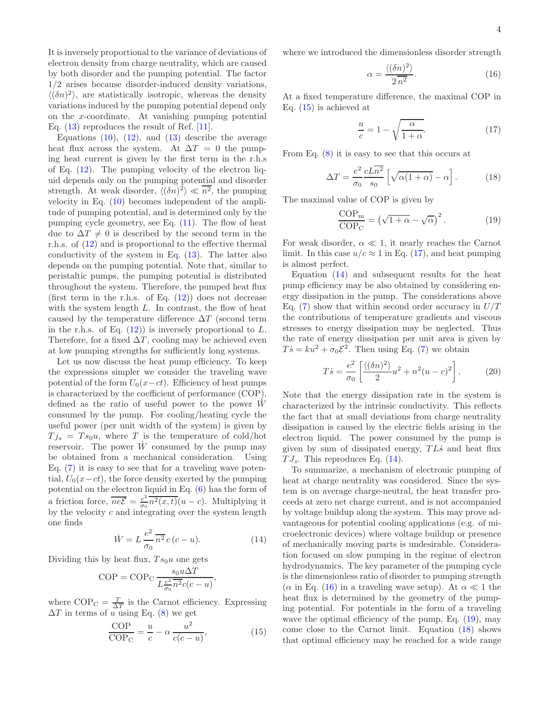It is inversely proportional to the variance of deviations of electron density from charge neutrality, which are caused by both disorder and the pumping potential. The factor 1/2 arises because disorder-induced density variations,  $\langle (\delta n)^2 \rangle$ , are statistically isotropic, whereas the density variations induced by the pumping potential depend only on the x-coordinate. At vanishing pumping potential Eq.  $(13)$  reproduces the result of Ref. [\[11](#page-4-9)].

Equations  $(10)$ ,  $(12)$ , and  $(13)$  describe the average heat flux across the system. At  $\Delta T = 0$  the pumping heat current is given by the first term in the r.h.s of Eq. [\(12\)](#page-2-7). The pumping velocity of the electron liquid depends only on the pumping potential and disorder strength. At weak disorder,  $\langle (\delta n)^2 \rangle \ll \overline{n^2}$ , the pumping velocity in Eq. [\(10\)](#page-2-5) becomes independent of the amplitude of pumping potential, and is determined only by the pumping cycle geometry, see Eq. [\(11\)](#page-2-8). The flow of heat due to  $\Delta T \neq 0$  is described by the second term in the r.h.s. of [\(12\)](#page-2-7) and is proportional to the effective thermal conductivity of the system in Eq. [\(13\)](#page-2-6). The latter also depends on the pumping potential. Note that, similar to peristaltic pumps, the pumping potential is distributed throughout the system. Therefore, the pumped heat flux (first term in the r.h.s. of Eq.  $(12)$ ) does not decrease with the system length  $L$ . In contrast, the flow of heat caused by the temperature difference  $\Delta T$  (second term in the r.h.s. of Eq.  $(12)$  is inversely proportional to L. Therefore, for a fixed  $\Delta T$ , cooling may be achieved even at low pumping strengths for sufficiently long systems.

Let us now discuss the heat pump efficiency. To keep the expressions simpler we consider the traveling wave potential of the form  $U_0(x-ct)$ . Efficiency of heat pumps is characterized by the coefficient of performance (COP), defined as the ratio of useful power to the power  $W$ consumed by the pump. For cooling/heating cycle the useful power (per unit width of the system) is given by  $Tj_s = Ts_0u$ , where T is the temperature of cold/hot reservoir. The power  $\dot{W}$  consumed by the pump may be obtained from a mechanical consideration. Using Eq.  $(7)$  it is easy to see that for a traveling wave potential,  $U_0(x-ct)$ , the force density exerted by the pumping potential on the electron liquid in Eq. [\(6\)](#page-2-1) has the form of a friction force,  $\overline{neE} = \frac{e^2}{\sigma_0}$  $\frac{e^2}{\sigma_0} n^2(x,t)(u-c)$ . Multiplying it by the velocity  $c$  and integrating over the system length one finds

$$
\dot{W} = L \frac{e^2}{\sigma_0} \overline{n^2} c (c - u). \tag{14}
$$

Dividing this by heat flux,  $Ts_0u$  one gets

$$
COP = COP_C \frac{s_0 u \Delta T}{L \frac{e^2}{\sigma_0} n^2 c (c - u)},
$$

where  $COP_C = \frac{T}{\Delta T}$  is the Carnot efficiency. Expressing  $\Delta T$  in terms of u using Eq. [\(8\)](#page-2-3) we get

<span id="page-3-0"></span>
$$
\frac{\text{COP}}{\text{COP}_{\text{C}}} = \frac{u}{c} - \alpha \frac{u^2}{c(c - u)},\tag{15}
$$

where we introduced the dimensionless disorder strength

<span id="page-3-3"></span>
$$
\alpha = \frac{\langle (\delta n)^2 \rangle}{2 \,\overline{n^2}}.\tag{16}
$$

At a fixed temperature difference, the maximal COP in Eq. [\(15\)](#page-3-0) is achieved at

<span id="page-3-5"></span><span id="page-3-1"></span>
$$
\frac{u}{c} = 1 - \sqrt{\frac{\alpha}{1 + \alpha}}.\tag{17}
$$

From Eq. [\(8\)](#page-2-3) it is easy to see that this occurs at

$$
\Delta T = \frac{e^2}{\sigma_0} \frac{cL\overline{n^2}}{s_0} \left[ \sqrt{\alpha(1+\alpha)} - \alpha \right]. \tag{18}
$$

The maximal value of COP is given by

<span id="page-3-4"></span>
$$
\frac{\text{COP}_{\text{m}}}{\text{COP}_{\text{C}}} = \left(\sqrt{1+\alpha} - \sqrt{\alpha}\right)^2. \tag{19}
$$

For weak disorder,  $\alpha \ll 1$ , it nearly reaches the Carnot limit. In this case  $u/c \approx 1$  in Eq. [\(17\)](#page-3-1), and heat pumping is almost perfect.

Equation [\(14\)](#page-3-2) and subsequent results for the heat pump efficiency may be also obtained by considering energy dissipation in the pump. The considerations above Eq.  $(7)$  show that within second order accuracy in  $U/T$ the contributions of temperature gradients and viscous stresses to energy dissipation may be neglected. Thus the rate of energy dissipation per unit area is given by  $T\dot{s} = ku^2 + \sigma_0 \mathcal{E}^2$ . Then using Eq. [\(7\)](#page-2-0) we obtain

$$
T\dot{s} = \frac{e^2}{\sigma_0} \left[ \frac{\langle (\delta n)^2 \rangle}{2} u^2 + n^2 (u - c)^2 \right].
$$
 (20)

Note that the energy dissipation rate in the system is characterized by the intrinsic conductivity. This reflects the fact that at small deviations from charge neutrality dissipation is caused by the electric fields arising in the electron liquid. The power consumed by the pump is given by sum of dissipated energy,  $TL\dot{s}$  and heat flux  $TJ_s$ . This reproduces Eq. [\(14\)](#page-3-2).

<span id="page-3-2"></span>To summarize, a mechanism of electronic pumping of heat at charge neutrality was considered. Since the system is on average charge-neutral, the heat transfer proceeds at zero net charge current, and is not accompanied by voltage buildup along the system. This may prove advantageous for potential cooling applications (e.g. of microelectronic devices) where voltage buildup or presence of mechanically moving parts is undesirable. Consideration focused on slow pumping in the regime of electron hydrodynamics. The key parameter of the pumping cycle is the dimensionless ratio of disorder to pumping strength ( $\alpha$  in Eq. [\(16\)](#page-3-3) in a traveling wave setup). At  $\alpha \ll 1$  the heat flux is determined by the geometry of the pumping potential. For potentials in the form of a traveling wave the optimal efficiency of the pump, Eq.  $(19)$ , may come close to the Carnot limit. Equation [\(18\)](#page-3-5) shows that optimal efficiency may be reached for a wide range